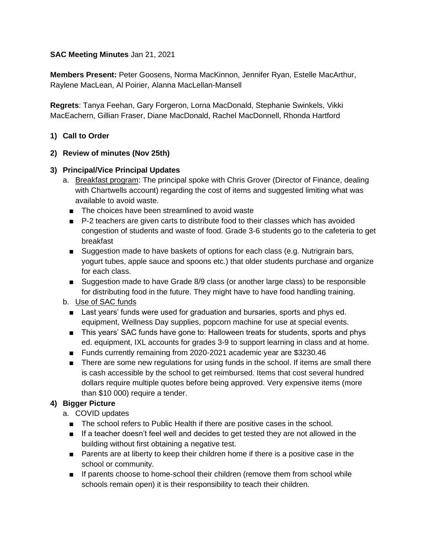### **SAC Meeting Minutes** Jan 21, 2021

**Members Present:** Peter Goosens, Norma MacKinnon, Jennifer Ryan, Estelle MacArthur, Raylene MacLean, Al Poirier, Alanna MacLellan-Mansell

**Regrets**: Tanya Feehan, Gary Forgeron, Lorna MacDonald, Stephanie Swinkels, Vikki MacEachern, Gillian Fraser, Diane MacDonald, Rachel MacDonnell, Rhonda Hartford

### **1) Call to Order**

### **2) Review of minutes (Nov 25th)**

### **3) Principal/Vice Principal Updates**

- a. Breakfast program: The principal spoke with Chris Grover (Director of Finance, dealing with Chartwells account) regarding the cost of items and suggested limiting what was available to avoid waste.
	- The choices have been streamlined to avoid waste
	- P-2 teachers are given carts to distribute food to their classes which has avoided congestion of students and waste of food. Grade 3-6 students go to the cafeteria to get breakfast
	- Suggestion made to have baskets of options for each class (e.g. Nutrigrain bars, yogurt tubes, apple sauce and spoons etc.) that older students purchase and organize for each class.
	- Suggestion made to have Grade 8/9 class (or another large class) to be responsible for distributing food in the future. They might have to have food handling training.

## b. Use of SAC funds

- Last years' funds were used for graduation and bursaries, sports and phys ed. equipment, Wellness Day supplies, popcorn machine for use at special events.
- This years' SAC funds have gone to: Halloween treats for students, sports and phys ed. equipment, IXL accounts for grades 3-9 to support learning in class and at home.
- Funds currently remaining from 2020-2021 academic year are \$3230.46
- There are some new regulations for using funds in the school. If items are small there is cash accessible by the school to get reimbursed. Items that cost several hundred dollars require multiple quotes before being approved. Very expensive items (more than \$10 000) require a tender.

## **4) Bigger Picture**

- a. COVID updates
	- The school refers to Public Health if there are positive cases in the school.
	- If a teacher doesn't feel well and decides to get tested they are not allowed in the building without first obtaining a negative test.
	- Parents are at liberty to keep their children home if there is a positive case in the school or community.
	- If parents choose to home-school their children (remove them from school while schools remain open) it is their responsibility to teach their children.